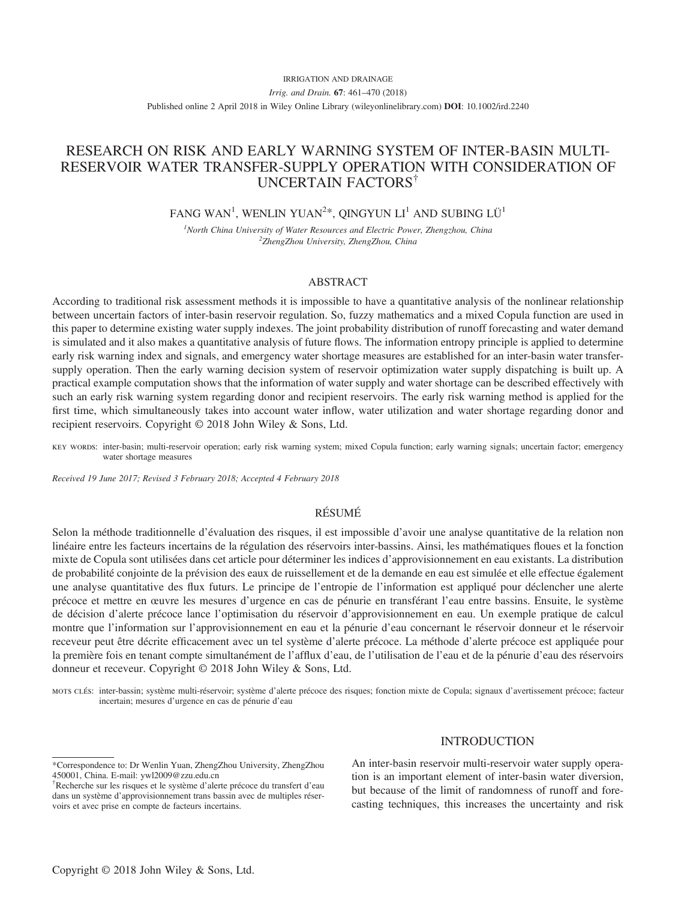# RESEARCH ON RISK AND EARLY WARNING SYSTEM OF INTER-BASIN MULTI-RESERVOIR WATER TRANSFER-SUPPLY OPERATION WITH CONSIDERATION OF UNCERTAIN FACTORS†

FANG WAN<sup>1</sup>, WENLIN YUAN<sup>2\*</sup>, QINGYUN LI<sup>1</sup> AND SUBING LÜ<sup>1</sup>

*1 North China University of Water Resources and Electric Power, Zhengzhou, China <sup>2</sup> ZhengZhou University, ZhengZhou, China*

#### ABSTRACT

According to traditional risk assessment methods it is impossible to have a quantitative analysis of the nonlinear relationship between uncertain factors of inter-basin reservoir regulation. So, fuzzy mathematics and a mixed Copula function are used in this paper to determine existing water supply indexes. The joint probability distribution of runoff forecasting and water demand is simulated and it also makes a quantitative analysis of future flows. The information entropy principle is applied to determine early risk warning index and signals, and emergency water shortage measures are established for an inter-basin water transfersupply operation. Then the early warning decision system of reservoir optimization water supply dispatching is built up. A practical example computation shows that the information of water supply and water shortage can be described effectively with such an early risk warning system regarding donor and recipient reservoirs. The early risk warning method is applied for the first time, which simultaneously takes into account water inflow, water utilization and water shortage regarding donor and recipient reservoirs. Copyright © 2018 John Wiley & Sons, Ltd.

key words: inter-basin; multi-reservoir operation; early risk warning system; mixed Copula function; early warning signals; uncertain factor; emergency water shortage measures

*Received 19 June 2017; Revised 3 February 2018; Accepted 4 February 2018*

## RÉSUMÉ

Selon la méthode traditionnelle d'évaluation des risques, il est impossible d'avoir une analyse quantitative de la relation non linéaire entre les facteurs incertains de la régulation des réservoirs inter-bassins. Ainsi, les mathématiques floues et la fonction mixte de Copula sont utilisées dans cet article pour déterminer les indices d'approvisionnement en eau existants. La distribution de probabilité conjointe de la prévision des eaux de ruissellement et de la demande en eau est simulée et elle effectue également une analyse quantitative des flux futurs. Le principe de l'entropie de l'information est appliqué pour déclencher une alerte précoce et mettre en œuvre les mesures d'urgence en cas de pénurie en transférant l'eau entre bassins. Ensuite, le système de décision d'alerte précoce lance l'optimisation du réservoir d'approvisionnement en eau. Un exemple pratique de calcul montre que l'information sur l'approvisionnement en eau et la pénurie d'eau concernant le réservoir donneur et le réservoir receveur peut être décrite efficacement avec un tel système d'alerte précoce. La méthode d'alerte précoce est appliquée pour la première fois en tenant compte simultanément de l'afflux d'eau, de l'utilisation de l'eau et de la pénurie d'eau des réservoirs donneur et receveur. Copyright © 2018 John Wiley & Sons, Ltd.

mots clés: inter-bassin; système multi-réservoir; système d'alerte précoce des risques; fonction mixte de Copula; signaux d'avertissement précoce; facteur incertain; mesures d'urgence en cas de pénurie d'eau

### INTRODUCTION

An inter-basin reservoir multi-reservoir water supply operation is an important element of inter-basin water diversion, but because of the limit of randomness of runoff and forecasting techniques, this increases the uncertainty and risk

<sup>\*</sup>Correspondence to: Dr Wenlin Yuan, ZhengZhou University, ZhengZhou 450001, China. E-mail: ywl2009@zzu.edu.cn

<sup>†</sup> Recherche sur les risques et le système d'alerte précoce du transfert d'eau dans un système d'approvisionnement trans bassin avec de multiples réservoirs et avec prise en compte de facteurs incertains.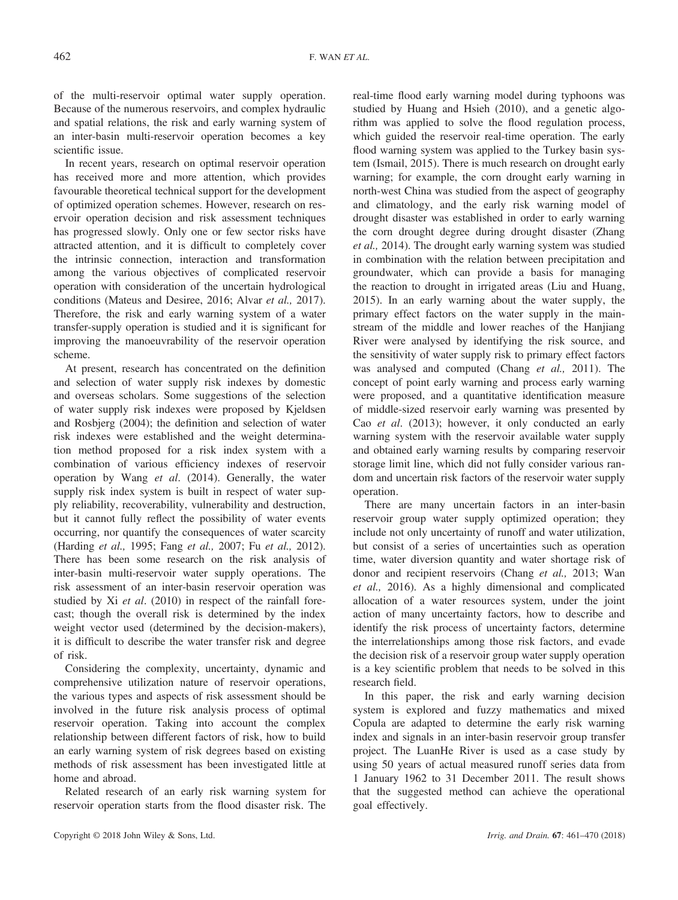of the multi-reservoir optimal water supply operation. Because of the numerous reservoirs, and complex hydraulic and spatial relations, the risk and early warning system of an inter-basin multi-reservoir operation becomes a key scientific issue.

In recent years, research on optimal reservoir operation has received more and more attention, which provides favourable theoretical technical support for the development of optimized operation schemes. However, research on reservoir operation decision and risk assessment techniques has progressed slowly. Only one or few sector risks have attracted attention, and it is difficult to completely cover the intrinsic connection, interaction and transformation among the various objectives of complicated reservoir operation with consideration of the uncertain hydrological conditions (Mateus and Desiree, 2016; Alvar *et al.,* 2017). Therefore, the risk and early warning system of a water transfer-supply operation is studied and it is significant for improving the manoeuvrability of the reservoir operation scheme.

At present, research has concentrated on the definition and selection of water supply risk indexes by domestic and overseas scholars. Some suggestions of the selection of water supply risk indexes were proposed by Kjeldsen and Rosbjerg (2004); the definition and selection of water risk indexes were established and the weight determination method proposed for a risk index system with a combination of various efficiency indexes of reservoir operation by Wang *et al*. (2014). Generally, the water supply risk index system is built in respect of water supply reliability, recoverability, vulnerability and destruction, but it cannot fully reflect the possibility of water events occurring, nor quantify the consequences of water scarcity (Harding *et al.,* 1995; Fang *et al.,* 2007; Fu *et al.,* 2012). There has been some research on the risk analysis of inter-basin multi-reservoir water supply operations. The risk assessment of an inter-basin reservoir operation was studied by Xi *et al*. (2010) in respect of the rainfall forecast; though the overall risk is determined by the index weight vector used (determined by the decision-makers), it is difficult to describe the water transfer risk and degree of risk.

Considering the complexity, uncertainty, dynamic and comprehensive utilization nature of reservoir operations, the various types and aspects of risk assessment should be involved in the future risk analysis process of optimal reservoir operation. Taking into account the complex relationship between different factors of risk, how to build an early warning system of risk degrees based on existing methods of risk assessment has been investigated little at home and abroad.

Related research of an early risk warning system for reservoir operation starts from the flood disaster risk. The real-time flood early warning model during typhoons was studied by Huang and Hsieh (2010), and a genetic algorithm was applied to solve the flood regulation process, which guided the reservoir real-time operation. The early flood warning system was applied to the Turkey basin system (Ismail, 2015). There is much research on drought early warning; for example, the corn drought early warning in north-west China was studied from the aspect of geography and climatology, and the early risk warning model of drought disaster was established in order to early warning the corn drought degree during drought disaster (Zhang *et al.,* 2014). The drought early warning system was studied in combination with the relation between precipitation and groundwater, which can provide a basis for managing the reaction to drought in irrigated areas (Liu and Huang, 2015). In an early warning about the water supply, the primary effect factors on the water supply in the mainstream of the middle and lower reaches of the Hanjiang River were analysed by identifying the risk source, and the sensitivity of water supply risk to primary effect factors was analysed and computed (Chang *et al.,* 2011). The concept of point early warning and process early warning were proposed, and a quantitative identification measure of middle-sized reservoir early warning was presented by Cao *et al*. (2013); however, it only conducted an early warning system with the reservoir available water supply and obtained early warning results by comparing reservoir storage limit line, which did not fully consider various random and uncertain risk factors of the reservoir water supply operation.

There are many uncertain factors in an inter-basin reservoir group water supply optimized operation; they include not only uncertainty of runoff and water utilization, but consist of a series of uncertainties such as operation time, water diversion quantity and water shortage risk of donor and recipient reservoirs (Chang *et al.,* 2013; Wan *et al.,* 2016). As a highly dimensional and complicated allocation of a water resources system, under the joint action of many uncertainty factors, how to describe and identify the risk process of uncertainty factors, determine the interrelationships among those risk factors, and evade the decision risk of a reservoir group water supply operation is a key scientific problem that needs to be solved in this research field.

In this paper, the risk and early warning decision system is explored and fuzzy mathematics and mixed Copula are adapted to determine the early risk warning index and signals in an inter-basin reservoir group transfer project. The LuanHe River is used as a case study by using 50 years of actual measured runoff series data from 1 January 1962 to 31 December 2011. The result shows that the suggested method can achieve the operational goal effectively.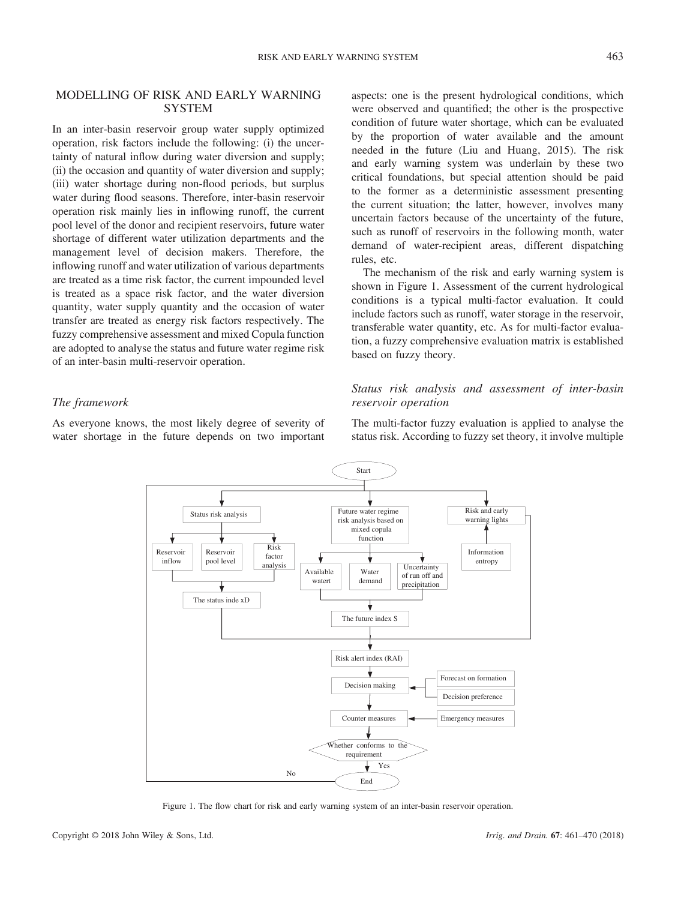### MODELLING OF RISK AND EARLY WARNING **SYSTEM**

In an inter-basin reservoir group water supply optimized operation, risk factors include the following: (i) the uncertainty of natural inflow during water diversion and supply; (ii) the occasion and quantity of water diversion and supply; (iii) water shortage during non-flood periods, but surplus water during flood seasons. Therefore, inter-basin reservoir operation risk mainly lies in inflowing runoff, the current pool level of the donor and recipient reservoirs, future water shortage of different water utilization departments and the management level of decision makers. Therefore, the inflowing runoff and water utilization of various departments are treated as a time risk factor, the current impounded level is treated as a space risk factor, and the water diversion quantity, water supply quantity and the occasion of water transfer are treated as energy risk factors respectively. The fuzzy comprehensive assessment and mixed Copula function are adopted to analyse the status and future water regime risk of an inter-basin multi-reservoir operation.

aspects: one is the present hydrological conditions, which were observed and quantified; the other is the prospective condition of future water shortage, which can be evaluated by the proportion of water available and the amount needed in the future (Liu and Huang, 2015). The risk and early warning system was underlain by these two critical foundations, but special attention should be paid to the former as a deterministic assessment presenting the current situation; the latter, however, involves many uncertain factors because of the uncertainty of the future, such as runoff of reservoirs in the following month, water demand of water-recipient areas, different dispatching rules, etc.

The mechanism of the risk and early warning system is shown in Figure 1. Assessment of the current hydrological conditions is a typical multi-factor evaluation. It could include factors such as runoff, water storage in the reservoir, transferable water quantity, etc. As for multi-factor evaluation, a fuzzy comprehensive evaluation matrix is established based on fuzzy theory.

### *Status risk analysis and assessment of inter-basin reservoir operation*

### *The framework*

As everyone knows, the most likely degree of severity of water shortage in the future depends on two important The multi-factor fuzzy evaluation is applied to analyse the status risk. According to fuzzy set theory, it involve multiple



Figure 1. The flow chart for risk and early warning system of an inter-basin reservoir operation.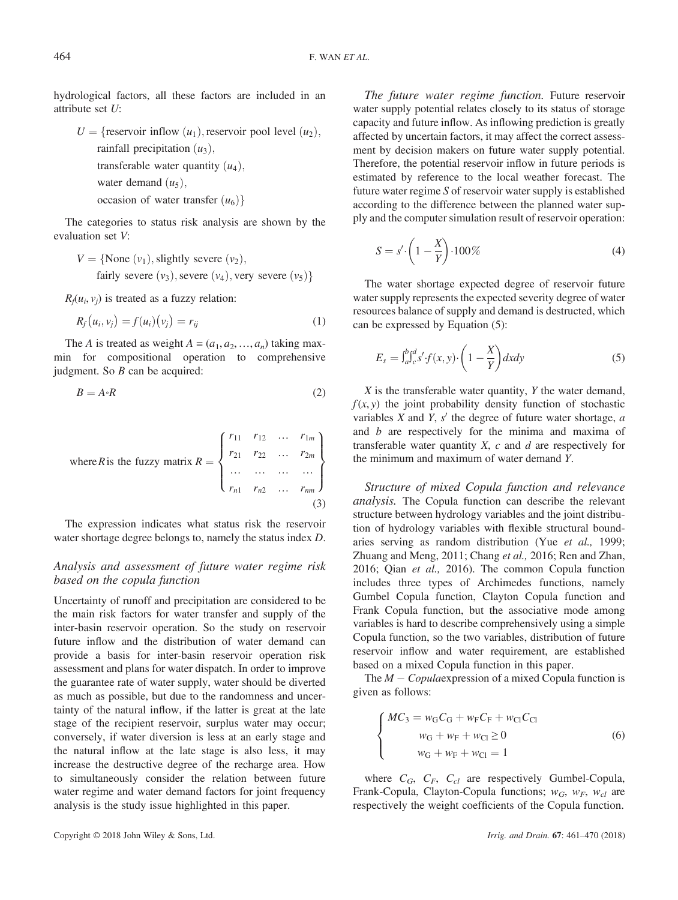hydrological factors, all these factors are included in an attribute set *U*:

 $U = \{$ reservoir inflow  $(u_1)$ , reservoir pool level  $(u_2)$ , rainfall precipitation  $(u_3)$ ,

transferable water quantity  $(u_4)$ ,

water demand  $(u_5)$ ,

occasion of water transfer  $(u_6)$ }

The categories to status risk analysis are shown by the evaluation set *V*:

$$
V = \{ \text{None } (v_1), \text{slightly severe } (v_2),
$$
  
fairly severe  $(v_3)$ , severe  $(v_4)$ , very severe  $(v_5) \}$ 

 $R_f(u_i, v_i)$  is treated as a fuzzy relation:

$$
R_f(u_i, v_j) = f(u_i)(v_j) = r_{ij}
$$
\n<sup>(1)</sup>

The *A* is treated as weight  $A = (a_1, a_2, \ldots, a_n)$  taking maxmin for compositional operation to comprehensive judgment. So *B* can be acquired:

$$
B = A \circ R \tag{2}
$$

where *R* is the fuzzy matrix 
$$
R = \begin{cases} r_{11} & r_{12} & \dots & r_{1m} \\ r_{21} & r_{22} & \dots & r_{2m} \\ \dots & \dots & \dots & \dots \\ r_{n1} & r_{n2} & \dots & r_{nm} \end{cases}
$$
 (3)

The expression indicates what status risk the reservoir water shortage degree belongs to, namely the status index *D*.

### *Analysis and assessment of future water regime risk based on the copula function*

Uncertainty of runoff and precipitation are considered to be the main risk factors for water transfer and supply of the inter-basin reservoir operation. So the study on reservoir future inflow and the distribution of water demand can provide a basis for inter-basin reservoir operation risk assessment and plans for water dispatch. In order to improve the guarantee rate of water supply, water should be diverted as much as possible, but due to the randomness and uncertainty of the natural inflow, if the latter is great at the late stage of the recipient reservoir, surplus water may occur; conversely, if water diversion is less at an early stage and the natural inflow at the late stage is also less, it may increase the destructive degree of the recharge area. How to simultaneously consider the relation between future water regime and water demand factors for joint frequency analysis is the study issue highlighted in this paper.

*The future water regime function.* Future reservoir water supply potential relates closely to its status of storage capacity and future inflow. As inflowing prediction is greatly affected by uncertain factors, it may affect the correct assessment by decision makers on future water supply potential. Therefore, the potential reservoir inflow in future periods is estimated by reference to the local weather forecast. The future water regime *S* of reservoir water supply is established according to the difference between the planned water supply and the computer simulation result of reservoir operation:

$$
S = s' \cdot \left(1 - \frac{X}{Y}\right) \cdot 100\%
$$
\n<sup>(4)</sup>

The water shortage expected degree of reservoir future water supply represents the expected severity degree of water resources balance of supply and demand is destructed, which can be expressed by Equation (5):

$$
E_s = \int_a^b \int_c^d s' \cdot f(x, y) \cdot \left(1 - \frac{X}{Y}\right) dx dy \tag{5}
$$

*X* is the transferable water quantity, *Y* the water demand,  $f(x, y)$  the joint probability density function of stochastic variables *X* and *Y*,  $s'$  the degree of future water shortage, *a* and *b* are respectively for the minima and maxima of transferable water quantity *X*, *c* and *d* are respectively for the minimum and maximum of water demand *Y*.

*Structure of mixed Copula function and relevance analysis.* The Copula function can describe the relevant structure between hydrology variables and the joint distribution of hydrology variables with flexible structural boundaries serving as random distribution (Yue *et al.,* 1999; Zhuang and Meng, 2011; Chang *et al.,* 2016; Ren and Zhan, 2016; Qian *et al.,* 2016). The common Copula function includes three types of Archimedes functions, namely Gumbel Copula function, Clayton Copula function and Frank Copula function, but the associative mode among variables is hard to describe comprehensively using a simple Copula function, so the two variables, distribution of future reservoir inflow and water requirement, are established based on a mixed Copula function in this paper.

The  $M - Copula$ expression of a mixed Copula function is given as follows:

$$
\begin{cases}\nMC_3 = w_G C_G + w_F C_F + w_{Cl} C_{Cl} \\
w_G + w_F + w_{Cl} \ge 0 \\
w_G + w_F + w_{Cl} = 1\n\end{cases}
$$
\n(6)

where  $C_G$ ,  $C_F$ ,  $C_{cl}$  are respectively Gumbel-Copula, Frank-Copula, Clayton-Copula functions;  $w_G$ ,  $w_F$ ,  $w_{cl}$  are respectively the weight coefficients of the Copula function.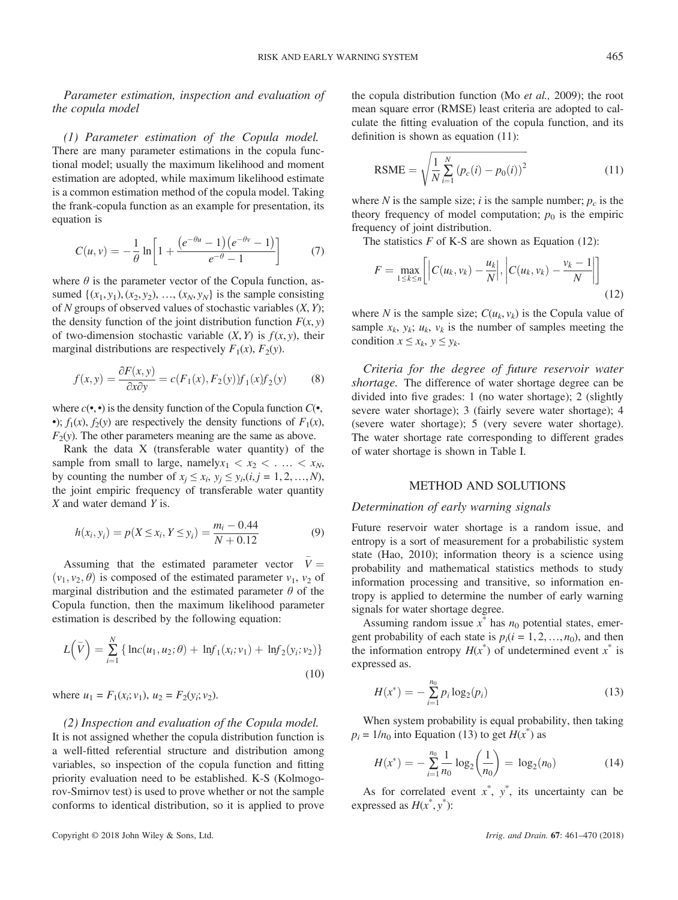*Parameter estimation, inspection and evaluation of the copula model*

*(1) Parameter estimation of the Copula model.* There are many parameter estimations in the copula functional model; usually the maximum likelihood and moment estimation are adopted, while maximum likelihood estimate is a common estimation method of the copula model. Taking the frank-copula function as an example for presentation, its equation is

$$
C(u, v) = -\frac{1}{\theta} \ln \left[ 1 + \frac{\left( e^{-\theta u} - 1 \right) \left( e^{-\theta v} - 1 \right)}{e^{-\theta} - 1} \right] \tag{7}
$$

where  $\theta$  is the parameter vector of the Copula function, assumed  $\{(x_1, y_1), (x_2, y_2), ..., (x_N, y_N)\}$  is the sample consisting of *N* groups of observed values of stochastic variables (*X*, *Y*); the density function of the joint distribution function  $F(x, y)$ of two-dimension stochastic variable  $(X, Y)$  is  $f(x, y)$ , their marginal distributions are respectively  $F_1(x)$ ,  $F_2(y)$ .

$$
f(x,y) = \frac{\partial F(x,y)}{\partial x \partial y} = c(F_1(x), F_2(y))f_1(x)f_2(y) \tag{8}
$$

where  $c(\bullet, \bullet)$  is the density function of the Copula function  $C(\bullet, \bullet)$ •);  $f_1(x)$ ,  $f_2(y)$  are respectively the density functions of  $F_1(x)$ ,  $F_2(y)$ . The other parameters meaning are the same as above.

Rank the data X (transferable water quantity) of the sample from small to large, namely $x_1 < x_2 < \ldots < x_N$ , by counting the number of  $x_i \leq x_i$ ,  $y_i \leq y_i$ ,  $(i, j = 1, 2, ..., N)$ , the joint empiric frequency of transferable water quantity *X* and water demand *Y* is.

$$
h(x_i, y_i) = p(X \le x_i, Y \le y_i) = \frac{m_i - 0.44}{N + 0.12}
$$
 (9)

Assuming that the estimated parameter vector *V*  $(v_1, v_2, \theta)$  is composed of the estimated parameter  $v_1$ ,  $v_2$  of marginal distribution and the estimated parameter  $\theta$  of the marginal distribution and the estimated parameter *θ* of the Copula function, then the maximum likelihood parameter estimation is described by the following equation:

$$
L(\bar{V}) = \sum_{i=1}^{N} \{ \ln c(u_1, u_2; \theta) + \ln f_1(x_i; v_1) + \ln f_2(y_i; v_2) \}
$$
\n(10)

where  $u_1 = F_1(x_i; v_1)$ ,  $u_2 = F_2(y_i; v_2)$ .

*(2) Inspection and evaluation of the Copula model.* It is not assigned whether the copula distribution function is a well-fitted referential structure and distribution among variables, so inspection of the copula function and fitting priority evaluation need to be established. K-S (Kolmogorov-Smirnov test) is used to prove whether or not the sample conforms to identical distribution, so it is applied to prove

the copula distribution function (Mo *et al.,* 2009); the root mean square error (RMSE) least criteria are adopted to calculate the fitting evaluation of the copula function, and its definition is shown as equation (11):

$$
RSME = \sqrt{\frac{1}{N} \sum_{i=1}^{N} (p_c(i) - p_0(i))^2}
$$
 (11)

where *N* is the sample size; *i* is the sample number;  $p_c$  is the theory frequency of model computation;  $p_0$  is the empiric frequency of joint distribution.

The statistics  $F$  of K-S are shown as Equation (12):

$$
F = \max_{1 \leq k \leq n} \left[ \left| C(u_k, v_k) - \frac{u_k}{N} \right|, \left| C(u_k, v_k) - \frac{v_k - 1}{N} \right| \right] \tag{12}
$$

where *N* is the sample size;  $C(u_k, v_k)$  is the Copula value of sample  $x_k$ ,  $y_k$ ;  $u_k$ ,  $v_k$  is the number of samples meeting the condition  $x \leq x_k$ ,  $y \leq y_k$ .

*Criteria for the degree of future reservoir water shortage.* The difference of water shortage degree can be divided into five grades: 1 (no water shortage); 2 (slightly severe water shortage); 3 (fairly severe water shortage); 4 (severe water shortage); 5 (very severe water shortage). The water shortage rate corresponding to different grades of water shortage is shown in Table I.

#### METHOD AND SOLUTIONS

### *Determination of early warning signals*

Future reservoir water shortage is a random issue, and entropy is a sort of measurement for a probabilistic system state (Hao, 2010); information theory is a science using probability and mathematical statistics methods to study information processing and transitive, so information entropy is applied to determine the number of early warning signals for water shortage degree.

Assuming random issue  $x^*$  has  $n_0$  potential states, emergent probability of each state is  $p_i(i = 1, 2, ..., n_0)$ , and then the information entropy  $H(x^*)$  of undetermined event  $x^*$  is expressed as.

$$
H(x^*) = -\sum_{i=1}^{n_0} p_i \log_2(p_i)
$$
 (13)

When system probability is equal probability, then taking  $p_i = 1/n_0$  into Equation (13) to get  $H(x^*)$  as

$$
H(x^*) = -\sum_{i=1}^{n_0} \frac{1}{n_0} \log_2 \left(\frac{1}{n_0}\right) = \log_2(n_0)
$$
 (14)

As for correlated event  $x^*$ ,  $y^*$ , its uncertainty can be expressed as  $H(x^*, y^*)$ :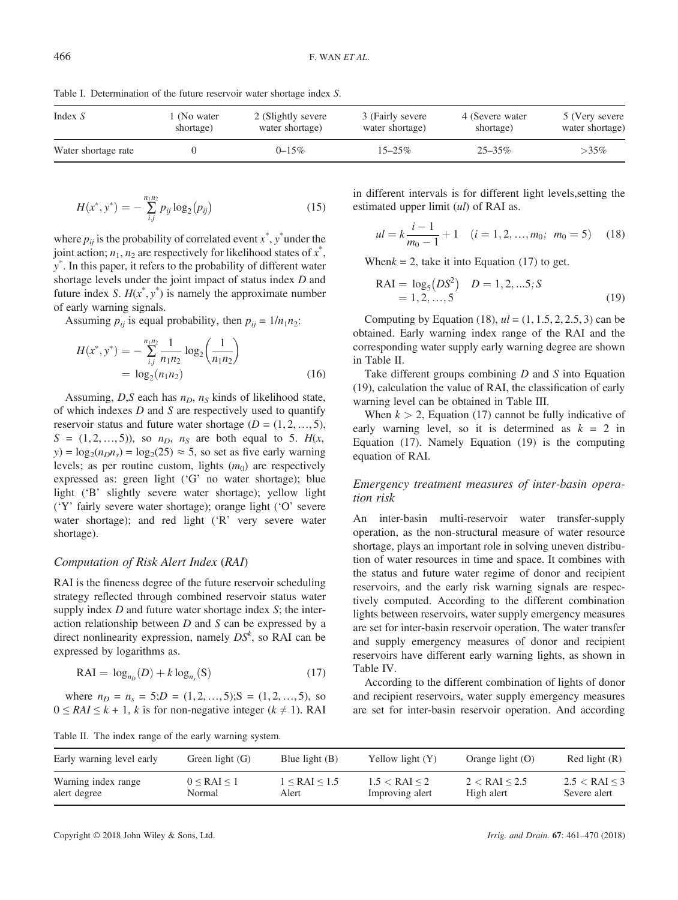| Index $S$           | 1 (No water | 2 (Slightly severe | 3 (Fairly severe | 4 (Severe water | 5 (Very severe  |
|---------------------|-------------|--------------------|------------------|-----------------|-----------------|
|                     | shortage)   | water shortage)    | water shortage)  | shortage)       | water shortage) |
| Water shortage rate |             | $0 - 15\%$         | $15 - 25\%$      | $25 - 35\%$     | $>35\%$         |

Table I. Determination of the future reservoir water shortage index *S*.

$$
H(x^*, y^*) = -\sum_{i,j}^{n_1 n_2} p_{ij} \log_2(p_{ij})
$$
 (15)

where  $p_{ij}$  is the probability of correlated event  $x^*$ ,  $y^*$  under the joint action;  $n_1$ ,  $n_2$  are respectively for likelihood states of  $x^*$ , *y*\* . In this paper, it refers to the probability of different water shortage levels under the joint impact of status index *D* and future index *S*.  $H(x^*, y^*)$  is namely the approximate number of early warning signals.

Assuming  $p_{ij}$  is equal probability, then  $p_{ij} = 1/n_1n_2$ :

$$
H(x^*, y^*) = -\sum_{i,j}^{n_1 n_2} \frac{1}{n_1 n_2} \log_2 \left(\frac{1}{n_1 n_2}\right)
$$
  
=  $\log_2(n_1 n_2)$  (16)

Assuming,  $D$ ,*S* each has  $n_D$ ,  $n_S$  kinds of likelihood state, of which indexes *D* and *S* are respectively used to quantify reservoir status and future water shortage  $(D = (1, 2, ..., 5))$ ,  $S = (1, 2, \ldots, 5)$ , so  $n_D$ ,  $n_S$  are both equal to 5.  $H(x, 5)$ *y*) =  $\log_2(n_D n_s)$  =  $\log_2(25) \approx 5$ , so set as five early warning levels; as per routine custom, lights  $(m_0)$  are respectively expressed as: green light ('G' no water shortage); blue light ('B' slightly severe water shortage); yellow light ('Y' fairly severe water shortage); orange light ('O' severe water shortage); and red light ('R' very severe water shortage).

#### *Computation of Risk Alert Index* (*RAI*)

RAI is the fineness degree of the future reservoir scheduling strategy reflected through combined reservoir status water supply index *D* and future water shortage index *S*; the interaction relationship between *D* and *S* can be expressed by a direct nonlinearity expression, namely *DS<sup>k</sup>* , so RAI can be expressed by logarithms as.

$$
RAI = \log_{n_D}(D) + k \log_{n_s}(S) \tag{17}
$$

where  $n_D = n_s = 5$ ; $D = (1, 2, ..., 5)$ ; $S = (1, 2, ..., 5)$ , so  $0 \leq RAI \leq k + 1$ , *k* is for non-negative integer ( $k \neq 1$ ). RAI

Table II. The index range of the early warning system.

in different intervals is for different light levels,setting the estimated upper limit (*ul*) of RAI as.

$$
ul = k \frac{i-1}{m_0 - 1} + 1 \quad (i = 1, 2, ..., m_0; \ m_0 = 5) \quad (18)
$$

When $k = 2$ , take it into Equation (17) to get.

$$
RAI = \log_5(DS^2) \quad D = 1, 2, ...5; S
$$
  
= 1, 2, ..., 5 (19)

Computing by Equation (18),  $ul = (1, 1.5, 2, 2.5, 3)$  can be obtained. Early warning index range of the RAI and the corresponding water supply early warning degree are shown in Table II.

Take different groups combining *D* and *S* into Equation (19), calculation the value of RAI, the classification of early warning level can be obtained in Table III.

When  $k > 2$ , Equation (17) cannot be fully indicative of early warning level, so it is determined as  $k = 2$  in Equation (17). Namely Equation (19) is the computing equation of RAI.

*Emergency treatment measures of inter-basin operation risk*

An inter-basin multi-reservoir water transfer-supply operation, as the non-structural measure of water resource shortage, plays an important role in solving uneven distribution of water resources in time and space. It combines with the status and future water regime of donor and recipient reservoirs, and the early risk warning signals are respectively computed. According to the different combination lights between reservoirs, water supply emergency measures are set for inter-basin reservoir operation. The water transfer and supply emergency measures of donor and recipient reservoirs have different early warning lights, as shown in Table IV.

According to the different combination of lights of donor and recipient reservoirs, water supply emergency measures are set for inter-basin reservoir operation. And according

| Early warning level early | Green light (G)     | Blue light $(B)$ | Yellow light $(Y)$ | Orange light $(O)$ | Red light $(R)$    |
|---------------------------|---------------------|------------------|--------------------|--------------------|--------------------|
| Warning index range       | $0 \leq RAI \leq 1$ | 1 < RAI < 1.5    | 1.5 < RAI < 2      | 2 < RAI < 2.5      | $2.5 < RAI \leq 3$ |
| alert degree              | Normal              | Alert            | Improving alert    | High alert         | Severe alert       |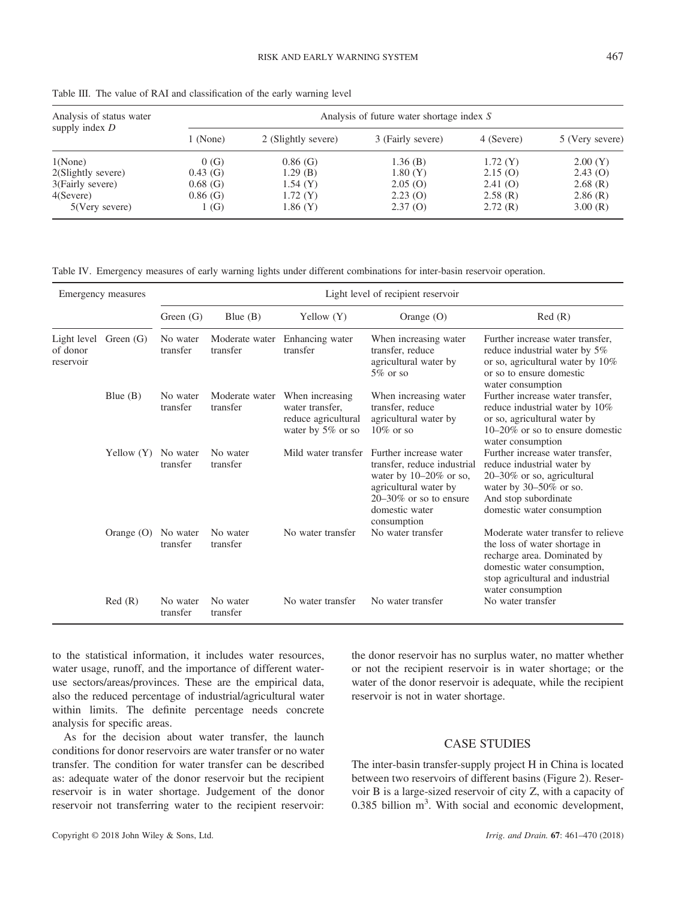| Analysis of status water<br>supply index $D$ | Analysis of future water shortage index S |                     |                   |            |                 |  |  |  |  |  |
|----------------------------------------------|-------------------------------------------|---------------------|-------------------|------------|-----------------|--|--|--|--|--|
|                                              | 1 (None)                                  | 2 (Slightly severe) | 3 (Fairly severe) | 4 (Severe) | 5 (Very severe) |  |  |  |  |  |
| 1(None)                                      | 0(G)                                      | 0.86(G)             | 1.36(B)           | 1.72(Y)    | 2.00(Y)         |  |  |  |  |  |
| 2(Slightly severe)                           | $0.43$ (G)                                | $1.29$ (B)          | 1.80(Y)           | 2.15(0)    | 2.43(0)         |  |  |  |  |  |
| 3(Fairly severe)                             | 0.68(G)                                   | 1.54(Y)             | 2.05(0)           | 2.41(0)    | 2.68(R)         |  |  |  |  |  |
| 4(Severe)                                    | 0.86(G)                                   | 1.72(Y)             | 2.23(0)           | 2.58(R)    | 2.86(R)         |  |  |  |  |  |
| 5(Very severe)                               | 1(G)                                      | 1.86(Y)             | 2.37(0)           | 2.72(R)    | 3.00(R)         |  |  |  |  |  |

Table III. The value of RAI and classification of the early warning level

Table IV. Emergency measures of early warning lights under different combinations for inter-basin reservoir operation.

|                                      | Emergency measures | Light level of recipient reservoir |                            |                                                                                   |                                                                                                                                                                           |                                                                                                                                                                                            |  |  |  |  |  |
|--------------------------------------|--------------------|------------------------------------|----------------------------|-----------------------------------------------------------------------------------|---------------------------------------------------------------------------------------------------------------------------------------------------------------------------|--------------------------------------------------------------------------------------------------------------------------------------------------------------------------------------------|--|--|--|--|--|
|                                      |                    | Green $(G)$                        | Blue $(B)$                 | Yellow $(Y)$                                                                      | Orange $(O)$                                                                                                                                                              | Red(R)                                                                                                                                                                                     |  |  |  |  |  |
| Light level<br>of donor<br>reservoir | Green $(G)$        | No water<br>transfer               | Moderate water<br>transfer | Enhancing water<br>transfer                                                       | When increasing water<br>transfer, reduce<br>agricultural water by<br>$5\%$ or so                                                                                         | Further increase water transfer,<br>reduce industrial water by 5%<br>or so, agricultural water by 10%<br>or so to ensure domestic<br>water consumption                                     |  |  |  |  |  |
|                                      | Blue $(B)$         | No water<br>transfer               | Moderate water<br>transfer | When increasing<br>water transfer.<br>reduce agricultural<br>water by $5\%$ or so | When increasing water<br>transfer, reduce<br>agricultural water by<br>$10\%$ or so                                                                                        | Further increase water transfer,<br>reduce industrial water by 10%<br>or so, agricultural water by<br>$10-20\%$ or so to ensure domestic<br>water consumption                              |  |  |  |  |  |
|                                      | Yellow (Y)         | No water<br>transfer               | No water<br>transfer       | Mild water transfer                                                               | Further increase water<br>transfer, reduce industrial<br>water by $10-20\%$ or so,<br>agricultural water by<br>$20-30\%$ or so to ensure<br>domestic water<br>consumption | Further increase water transfer,<br>reduce industrial water by<br>20–30% or so, agricultural<br>water by $30-50\%$ or so.<br>And stop subordinate<br>domestic water consumption            |  |  |  |  |  |
|                                      | Orange $(O)$       | No water<br>transfer               | No water<br>transfer       | No water transfer                                                                 | No water transfer                                                                                                                                                         | Moderate water transfer to relieve<br>the loss of water shortage in<br>recharge area. Dominated by<br>domestic water consumption,<br>stop agricultural and industrial<br>water consumption |  |  |  |  |  |
|                                      | Red(R)             | No water<br>transfer               | No water<br>transfer       | No water transfer                                                                 | No water transfer                                                                                                                                                         | No water transfer                                                                                                                                                                          |  |  |  |  |  |

to the statistical information, it includes water resources, water usage, runoff, and the importance of different wateruse sectors/areas/provinces. These are the empirical data, also the reduced percentage of industrial/agricultural water within limits. The definite percentage needs concrete analysis for specific areas.

As for the decision about water transfer, the launch conditions for donor reservoirs are water transfer or no water transfer. The condition for water transfer can be described as: adequate water of the donor reservoir but the recipient reservoir is in water shortage. Judgement of the donor reservoir not transferring water to the recipient reservoir: the donor reservoir has no surplus water, no matter whether or not the recipient reservoir is in water shortage; or the water of the donor reservoir is adequate, while the recipient reservoir is not in water shortage.

## CASE STUDIES

The inter-basin transfer-supply project H in China is located between two reservoirs of different basins (Figure 2). Reservoir B is a large-sized reservoir of city Z, with a capacity of 0.385 billion m<sup>3</sup>. With social and economic development,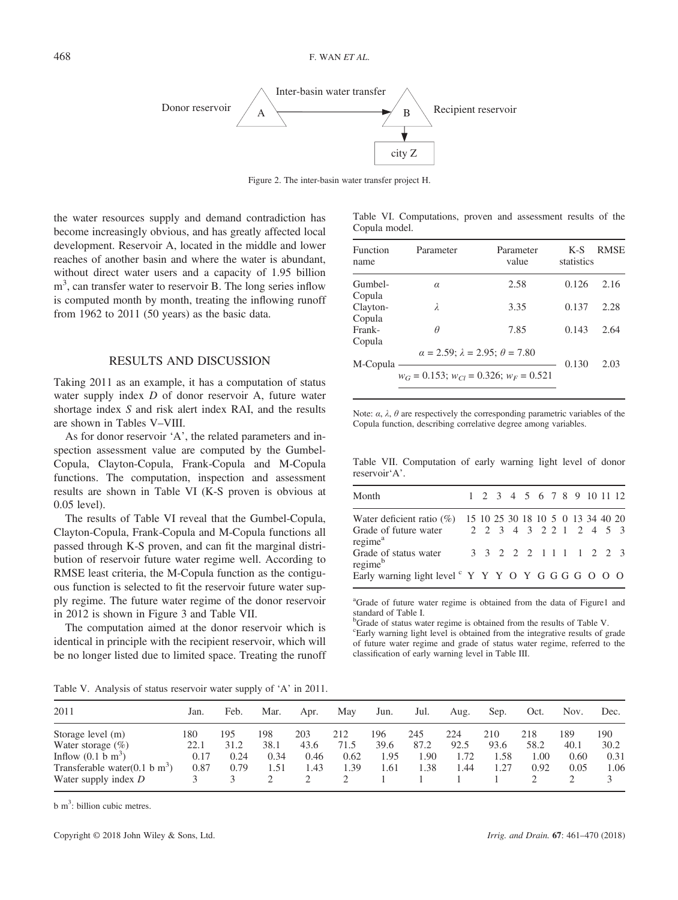

Figure 2. The inter-basin water transfer project H.

the water resources supply and demand contradiction has become increasingly obvious, and has greatly affected local development. Reservoir A, located in the middle and lower reaches of another basin and where the water is abundant, without direct water users and a capacity of 1.95 billion m<sup>3</sup>, can transfer water to reservoir B. The long series inflow is computed month by month, treating the inflowing runoff from 1962 to 2011 (50 years) as the basic data.

### RESULTS AND DISCUSSION

Taking 2011 as an example, it has a computation of status water supply index *D* of donor reservoir A, future water shortage index *S* and risk alert index RAI, and the results are shown in Tables V–VIII.

As for donor reservoir 'A', the related parameters and inspection assessment value are computed by the Gumbel-Copula, Clayton-Copula, Frank-Copula and M-Copula functions. The computation, inspection and assessment results are shown in Table VI (K-S proven is obvious at 0.05 level).

The results of Table VI reveal that the Gumbel-Copula, Clayton-Copula, Frank-Copula and M-Copula functions all passed through K-S proven, and can fit the marginal distribution of reservoir future water regime well. According to RMSE least criteria, the M-Copula function as the contiguous function is selected to fit the reservoir future water supply regime. The future water regime of the donor reservoir in 2012 is shown in Figure 3 and Table VII.

The computation aimed at the donor reservoir which is identical in principle with the recipient reservoir, which will be no longer listed due to limited space. Treating the runoff

Table VI. Computations, proven and assessment results of the Copula model.

| Function<br>name   | Parameter                                            | Parameter<br>value | $K-S$<br>statistics | <b>RMSE</b> |
|--------------------|------------------------------------------------------|--------------------|---------------------|-------------|
| Gumbel-<br>Copula  | α                                                    | 2.58               | 0.126               | 2.16        |
| Clayton-<br>Copula | λ                                                    | 3.35               | 0.137               | 2.28        |
| Frank-<br>Copula   | Ĥ                                                    | 7.85               | 0.143               | 2.64        |
| M-Copula           | $\alpha = 2.59$ ; $\lambda = 2.95$ ; $\theta = 7.80$ |                    | 0.130               | 2.03        |
|                    | $w_G = 0.153$ ; $w_{Cl} = 0.326$ ; $w_F = 0.521$     |                    |                     |             |

Note:  $\alpha$ ,  $\lambda$ ,  $\theta$  are respectively the corresponding parametric variables of the Copula function, describing correlative degree among variables.

Table VII. Computation of early warning light level of donor reservoir'A'.

| Month                                                        |  | 1 2 3 4 5 6 7 8 9 10 11 12 |  |  |  |  |
|--------------------------------------------------------------|--|----------------------------|--|--|--|--|
| Water deficient ratio (%) 15 10 25 30 18 10 5 0 13 34 40 20  |  |                            |  |  |  |  |
| Grade of future water<br>regime <sup>a</sup>                 |  | 2 2 3 4 3 2 2 1 2 4 5 3    |  |  |  |  |
| Grade of status water<br>regime <sup>b</sup>                 |  | 3 3 2 2 2 1 1 1 1 2 2 3    |  |  |  |  |
| Early warning light level <sup>c</sup> Y Y Y O Y G G G O O O |  |                            |  |  |  |  |

<sup>a</sup>Grade of future water regime is obtained from the data of Figure1 and standard of Table I.

<sup>b</sup>Grade of status water regime is obtained from the results of Table V.

c Early warning light level is obtained from the integrative results of grade of future water regime and grade of status water regime, referred to the classification of early warning level in Table III.

Table V. Analysis of status reservoir water supply of 'A' in 2011.

| 2011                                     | Jan. | Feb. | Mar. | Apr. | May  | Jun. | Jul. | Aug. | Sep. | Oct. | Nov. | Dec. |
|------------------------------------------|------|------|------|------|------|------|------|------|------|------|------|------|
| Storage level (m)                        | 180  | 195  | 198  | 203  | 212  | 196  | 245  | 224  | 210  | 218  | 189  | 190  |
| Water storage $(\%)$                     | 22.1 | 31.2 | 38.1 | 43.6 | 71.5 | 39.6 | 87.2 | 92.5 | 93.6 | 58.2 | 40.1 | 30.2 |
| Inflow $(0.1 b m3)$                      | 0.17 | 0.24 | 0.34 | 0.46 | 0.62 | 1.95 | 1.90 | 1.72 | 1.58 | 1.00 | 0.60 | 0.31 |
| Transferable water $(0.1 \text{ b m}^3)$ | 0.87 | 0.79 | 1.51 | 1.43 | 1.39 | 1.61 | l.38 | .44  | 1.27 | 0.92 | 0.05 | 1.06 |
| Water supply index $D$                   |      |      |      |      |      |      |      |      |      |      |      |      |
|                                          |      |      |      |      |      |      |      |      |      |      |      |      |

 $b$  m<sup>3</sup>: billion cubic metres.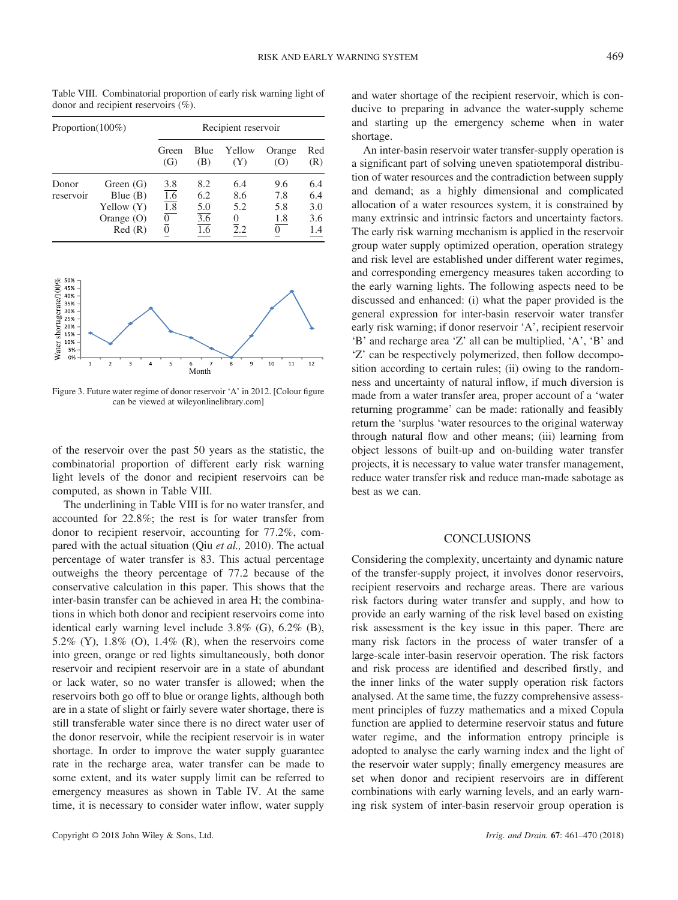Table VIII. Combinatorial proportion of early risk warning light of donor and recipient reservoirs (%).

| Proportion $(100\%)$ |                                                                     | Recipient reservoir                                   |                                 |                               |                               |                                 |  |  |  |  |
|----------------------|---------------------------------------------------------------------|-------------------------------------------------------|---------------------------------|-------------------------------|-------------------------------|---------------------------------|--|--|--|--|
|                      |                                                                     | Green<br>(G)                                          | Blue<br>(B)                     | Yellow<br>(Y)                 | Orange<br>(0)                 | Red<br>(R)                      |  |  |  |  |
| Donor<br>reservoir   | Green $(G)$<br>Blue $(B)$<br>Yellow $(Y)$<br>Orange $(O)$<br>Red(R) | 3.8<br>1.6<br>1.8<br>$\overline{0}$<br>$\overline{0}$ | 8.2<br>6.2<br>5.0<br>3.6<br>1.6 | 6.4<br>8.6<br>5.2<br>0<br>2.2 | 9.6<br>7.8<br>5.8<br>1.8<br>0 | 6.4<br>6.4<br>3.0<br>3.6<br>1.4 |  |  |  |  |



Figure 3. Future water regime of donor reservoir 'A' in 2012. [Colour figure can be viewed at [wileyonlinelibrary.com](http://wileyonlinelibrary.com)]

of the reservoir over the past 50 years as the statistic, the combinatorial proportion of different early risk warning light levels of the donor and recipient reservoirs can be computed, as shown in Table VIII.

The underlining in Table VIII is for no water transfer, and accounted for 22.8%; the rest is for water transfer from donor to recipient reservoir, accounting for 77.2%, compared with the actual situation (Qiu *et al.,* 2010). The actual percentage of water transfer is 83. This actual percentage outweighs the theory percentage of 77.2 because of the conservative calculation in this paper. This shows that the inter-basin transfer can be achieved in area H; the combinations in which both donor and recipient reservoirs come into identical early warning level include 3.8% (G), 6.2% (B), 5.2% (Y), 1.8% (O), 1.4% (R), when the reservoirs come into green, orange or red lights simultaneously, both donor reservoir and recipient reservoir are in a state of abundant or lack water, so no water transfer is allowed; when the reservoirs both go off to blue or orange lights, although both are in a state of slight or fairly severe water shortage, there is still transferable water since there is no direct water user of the donor reservoir, while the recipient reservoir is in water shortage. In order to improve the water supply guarantee rate in the recharge area, water transfer can be made to some extent, and its water supply limit can be referred to emergency measures as shown in Table IV. At the same time, it is necessary to consider water inflow, water supply

and water shortage of the recipient reservoir, which is conducive to preparing in advance the water-supply scheme and starting up the emergency scheme when in water shortage.

An inter-basin reservoir water transfer-supply operation is a significant part of solving uneven spatiotemporal distribution of water resources and the contradiction between supply and demand; as a highly dimensional and complicated allocation of a water resources system, it is constrained by many extrinsic and intrinsic factors and uncertainty factors. The early risk warning mechanism is applied in the reservoir group water supply optimized operation, operation strategy and risk level are established under different water regimes, and corresponding emergency measures taken according to the early warning lights. The following aspects need to be discussed and enhanced: (i) what the paper provided is the general expression for inter-basin reservoir water transfer early risk warning; if donor reservoir 'A', recipient reservoir 'B' and recharge area 'Z' all can be multiplied, 'A', 'B' and 'Z' can be respectively polymerized, then follow decomposition according to certain rules; (ii) owing to the randomness and uncertainty of natural inflow, if much diversion is made from a water transfer area, proper account of a 'water returning programme' can be made: rationally and feasibly return the 'surplus 'water resources to the original waterway through natural flow and other means; (iii) learning from object lessons of built-up and on-building water transfer projects, it is necessary to value water transfer management, reduce water transfer risk and reduce man-made sabotage as best as we can.

### **CONCLUSIONS**

Considering the complexity, uncertainty and dynamic nature of the transfer-supply project, it involves donor reservoirs, recipient reservoirs and recharge areas. There are various risk factors during water transfer and supply, and how to provide an early warning of the risk level based on existing risk assessment is the key issue in this paper. There are many risk factors in the process of water transfer of a large-scale inter-basin reservoir operation. The risk factors and risk process are identified and described firstly, and the inner links of the water supply operation risk factors analysed. At the same time, the fuzzy comprehensive assessment principles of fuzzy mathematics and a mixed Copula function are applied to determine reservoir status and future water regime, and the information entropy principle is adopted to analyse the early warning index and the light of the reservoir water supply; finally emergency measures are set when donor and recipient reservoirs are in different combinations with early warning levels, and an early warning risk system of inter-basin reservoir group operation is